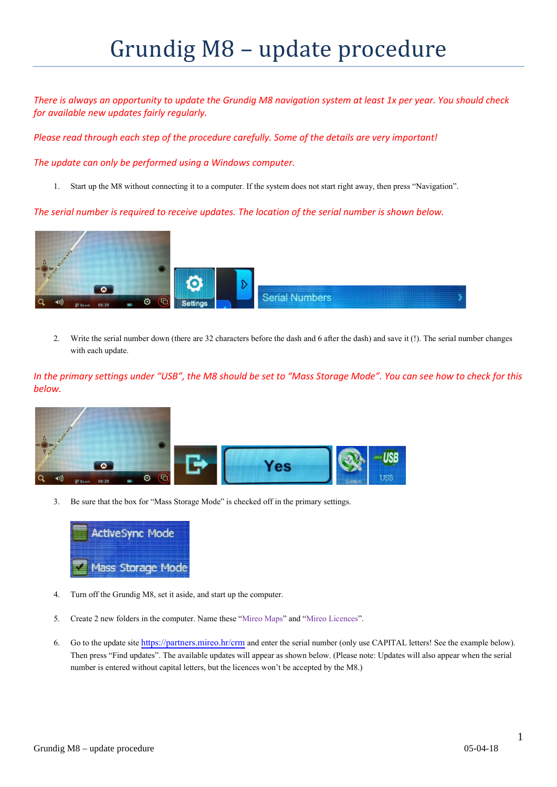## Grundig M8 – update procedure

*There is always an opportunity to update the Grundig M8 navigation system at least 1x per year. You should check for available new updates fairly regularly.*

*Please read through each step of the procedure carefully. Some of the details are very important!*

*The update can only be performed using a Windows computer.*

1. Start up the M8 without connecting it to a computer. If the system does not start right away, then press "Navigation".

*The serial number is required to receive updates. The location of the serial number is shown below.* 



2. Write the serial number down (there are 32 characters before the dash and 6 after the dash) and save it (!). The serial number changes with each update.

*In the primary settings under "USB", the M8 should be set to "Mass Storage Mode". You can see how to check for this below.*



3. Be sure that the box for "Mass Storage Mode" is checked off in the primary settings.



- 4. Turn off the Grundig M8, set it aside, and start up the computer.
- 5. Create 2 new folders in the computer. Name these "Mireo Maps" and "Mireo Licences".
- 6. Go to the update site<https://partners.mireo.hr/crm> and enter the serial number (only use CAPITAL letters! See the example below). Then press "Find updates". The available updates will appear as shown below. (Please note: Updates will also appear when the serial number is entered without capital letters, but the licences won't be accepted by the M8.)

1